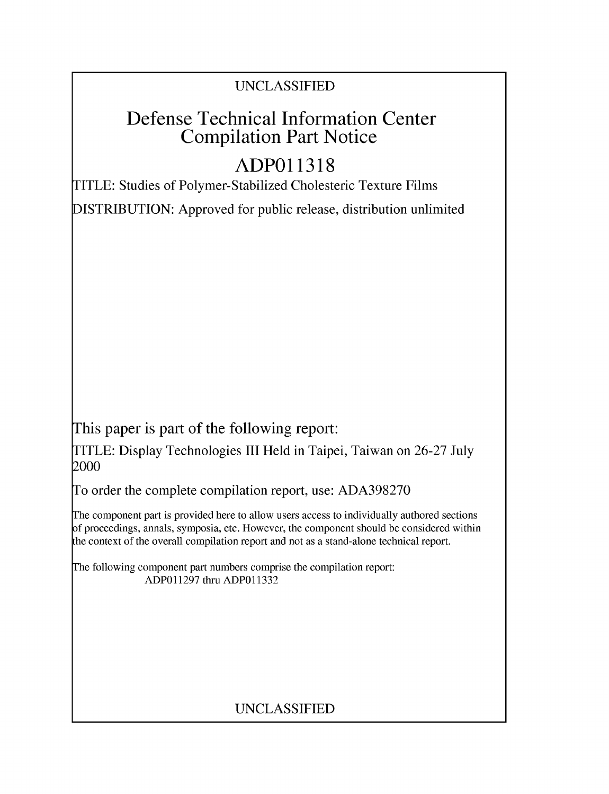### UNCLASSIFIED

## Defense Technical Information Center Compilation Part Notice

# **ADPO 11318**

TITLE: Studies of Polymer-Stabilized Cholesteric Texture Films

DISTRIBUTION: Approved for public release, distribution unlimited

This paper is part of the following report:

TITLE: Display Technologies III Held in Taipei, Taiwan on 26-27 July 2000

To order the complete compilation report, use: ADA398270

The component part is provided here to allow users access to individually authored sections f proceedings, annals, symposia, etc. However, the component should be considered within [he context of the overall compilation report and not as a stand-alone technical report.

The following component part numbers comprise the compilation report: ADP011297 thru ADP011332

## UNCLASSIFIED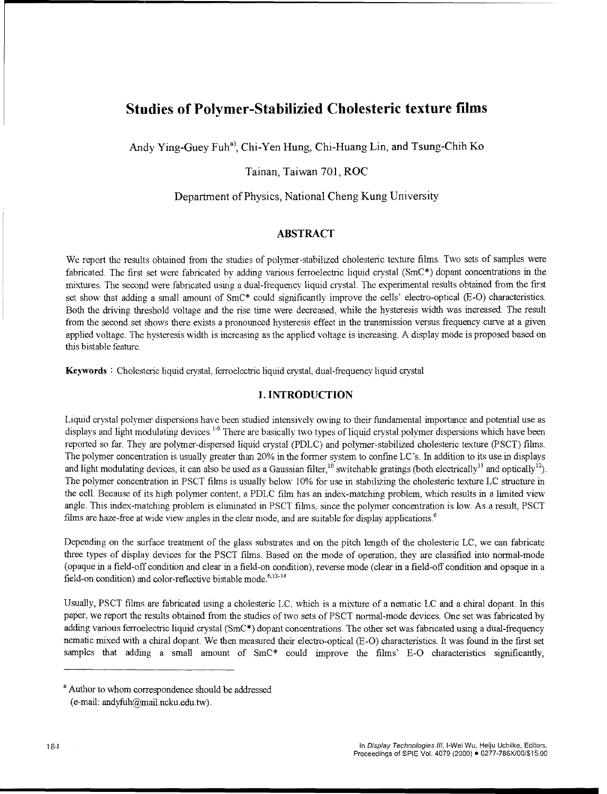### Studies of Polymer-Stabilizied Cholesteric texture films

Andy Ying-Guey Fuh<sup>a)</sup>, Chi-Yen Hung, Chi-Huang Lin, and Tsung-Chih Ko

#### Tainan, Taiwan 701, ROC

#### Department of Physics, National Cheng Kung University

#### ABSTRACT

We report the results obtained from the studies of polymer-stabilized cholesteric texture films. Two sets of samples were fabricated. The first set were fabricated by adding various ferroelectric liquid crystal (SmC\*) dopant concentrations in the mixtures. The second were fabricated using a dual-frequency liquid crystal. The experimental results obtained from the first set show that adding a small amount of SmC\* could significantly improve the cells' electro-optical (E-O) characteristics. Both the driving threshold voltage and the rise time were decreased, while the hysteresis width was increased. The result from the second set shows there exists a pronounced hysteresis effect in the transmission versus frequency curve at a given applied voltage. The hysteresis width is increasing as the applied voltage is increasing. A display mode is proposed based on this bistable feature.

Keywords **:** Cholesteric liquid crystal, ferroelectric liquid crystal, dual-frequency liquid crystal

#### 1. **INTRODUCTION**

Liquid crystal polymer dispersions have been studied intensively owing to their fundamental importance and potential use as displays and light modulating devices.<sup>1-9</sup> There are basically two types of liquid crystal polymer dispersions which have been reported so far. They are polymer-dispersed liquid crystal (PDLC) and polymer-stabilized cholesteric texture (PSCT) films. The polymer concentration is usually greater than 20% in the former system to confine LC's. In addition to its use in displays and light modulating devices, it can also be used as a Gaussian filter,<sup>10</sup> switchable gratings (both electrically<sup>11</sup> and optically<sup>12</sup>) The polymer concentration in PSCT films is usually below 10% for use in stabilizing the cholesteric texture LC structure in the cell. Because of its high polymer content, a PDLC film has an index-matching problem, which results in a limited view angle. This index-matching problem is eliminated in PSCT films, since the polymer concentration is low. As a result, PSCT films are haze-free at wide view angles in the clear mode, and are suitable for display applications.

Depending on the surface treatment of the glass substrates and on the pitch length of the cholesteric LC, we can fabricate three types of display devices for the PSCT films. Based on the mode of operation, they are classified into normal-mode (opaque in a field-off condition and clear in a field-on condition), reverse mode (clear in a field-off condition and opaque in a  $field$ -on condition) and color-reflective bistable mode.<sup>6,13-14</sup>

Usually, PSCT films are fabricated using a cholesteric LC, which is a mixture of a nematic LC and a chiral dopant. In this paper, we report the results obtained from the studies of two sets of PSCT normal-mode devices. One set was fabricated by adding various ferroelectric liquid crystal (SmC\*) dopant concentrations. The other set was fabricated using a dual-frequency nematic mixed with a chiral dopant. We then measured their electro-optical (E-O) characteristics. It was found in the first set samples that adding a small amount of SmC\* could improve the films' E-O characteristics significantly,

**<sup>a</sup>**Author to whom correspondence should be addressed (e-mail: andyfuh $@$ mail.ncku.edu.tw).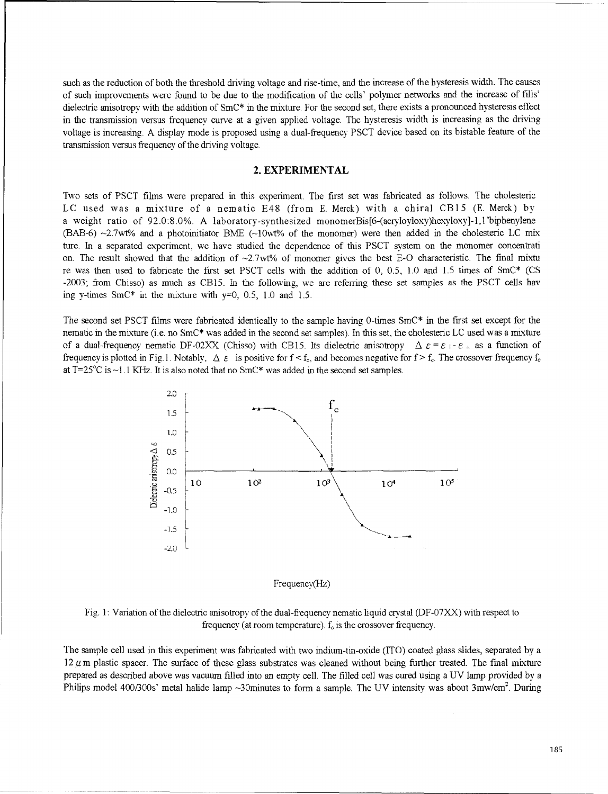such as the reduction of both the threshold driving voltage and rise-time, and the increase of the hysteresis width. The causes of such improvements were found to be due to the modification of the cells' polymer networks and the increase of fills' dielectric anisotropy with the addition of SmC<sup>\*</sup> in the mixture. For the second set, there exists a pronounced hysteresis effect in the transmission versus frequency curve at a given applied voltage. The hysteresis width is increasing as the driving voltage is increasing. A display mode is proposed using a dual-frequency PSCT device based on its bistable feature of the transmission versus frequency of the driving voltage.

#### 2. EXPERIMENTAL

Two sets of PSCT films were prepared in this expenment. The first set was fabricated as follows. The cholesteric LC used was a mixture of a nematic E48 (from E. Merck) with a chiral CB15 (E. Merck) by a weight ratio of 92.0:8.0%. A laboratory-synthesized monomerBis[6-(acryloyloxy)hexyloxy]-1,1'biphenylene  $(BAB-6) \sim 2.7$  wt% and a photoinitiator BME  $(\sim 10$  wt% of the monomer) were then added in the cholesteric LC mix ture. In a separated experiment, we have studied the dependence of this PSCT system on the monomer concentrati on. The result showed that the addition of  $\sim$ 2.7wt% of monomer gives the best E-O characteristic. The final mixtu re was then used to fabricate the first set PSCT cells with the addition of 0, 0.5, 1.0 and 1.5 times of SmC\* (CS -2003; from Chisso) as much as CB15. In the following, we are referring these set samples as the PSCT cells hay ing y-times  $SmC^*$  in the mixture with  $y=0$ , 0.5, 1.0 and 1.5.

The second set PSCT films were fabricated identically to the sample having 0-times SmC\* in the first set except for the nematic in the mixture (i.e. no SmC\* was added in the second set samples). In this set, the cholesteric LC used was a mixture of a dual-frequency nematic DF-02XX (Chisso) with CB15. Its dielectric anisotropy  $\Delta \varepsilon = \varepsilon_{\parallel} - \varepsilon_{\perp}$  as a function of frequency is plotted in Fig.1. Notably,  $\Delta \varepsilon$  is positive for  $f < f_c$ , and becomes negative for  $f > f_c$ . The crossover frequency  $f_c$ at T=25<sup>o</sup>C is ~1.1 KHz. It is also noted that no SmC\* was added in the second set samples.



Frequency(Hz)

Fig. **1:** Variation of the dielectric anisotropy of the dual-frequency nematic liquid crystal (DF-07XX) with respect to frequency (at room temperature). **f,** is the crossover frequency.

The sample cell used in this experiment was fabricated with two indium-tin-oxide (ITO) coated glass slides, separated by a  $12 \mu$  m plastic spacer. The surface of these glass substrates was cleaned without being further treated. The final mixture prepared as described above was vacuum filled into an empty cell. The filled cell was cured using a UV lamp provided by a Philips model 400/300s' metal halide lamp  $\sim$ 30minutes to form a sample. The UV intensity was about 3mw/cm<sup>2</sup>. During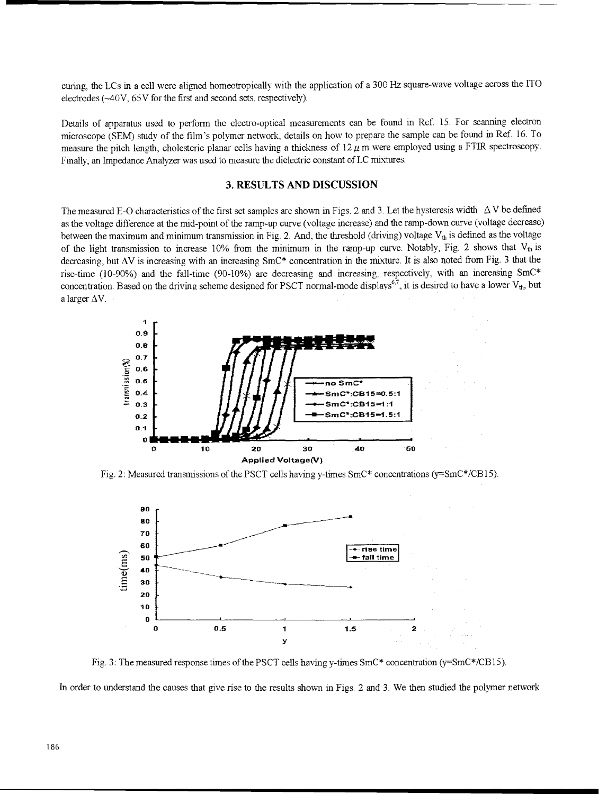curing, the LCs in a cell were aligned homeotropically with the application of a 300 Hz square-wave voltage across the ITO electrodes (~40V, 65V for the first and second sets, respectively).

Details of apparatus used to perform the electro-optical measurements can be found in Ref **15.** For scanning electron microscope (SEM) study of the film's polymer network, details on how to prepare the sample can be found in Ref. 16. To measure the pitch length, cholesteric planar cells having a thickness of  $12 \mu$  m were employed using a FTIR spectroscopy. Finally, an Impedance Analyzer was used to measure the dielectric constant of LC mixtures.

#### **3.** RESULTS **AND DISCUSSION**

The measured E-O characteristics of the first set samples are shown in Figs. 2 and 3. Let the hysteresis width  $\Delta V$  be defined as the voltage difference at the mid-point of the ramp-up curve (voltage increase) and the ramp-down curve (voltage decrease) between the maximum and minimum transmission in Fig. 2. And, the threshold (driving) voltage  $V_{th}$  is defined as the voltage of the light transmission to increase 10% from the minimum in the ramp-up curve. Notably, Fig. 2 shows that  $V_{th}$  is decreasing, but  $\Delta V$  is increasing with an increasing  $SmC^*$  concentration in the mixture. It is also noted from Fig. 3 that the rise-time (10-90%) and the fall-time (90-10%) are decreasing and increasing, respectively, with an increasing SmC\* concentration. Based on the driving scheme designed for PSCT normal-mode displays<sup>6,7</sup>, it is desired to have a lower  $V_{th}$ , but a larger  $\Delta V$ .



Fig. 2: Measured transmissions of the PSCT cells having y-times SmC\* concentrations (y=SmC\*/CB15)



Fig. 3: The measured response times of the PSCT cells having y-times SmC\* concentration (y=SmC\*/CB15).

In order to understand the causes that give rise to the results shown in Figs. 2 and **3.** We then studied the polymer network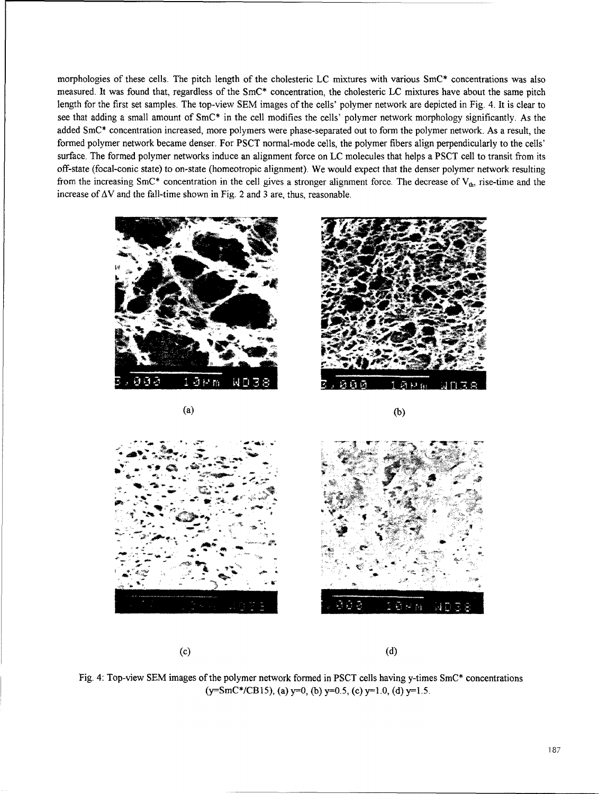morphologies of these cells. The pitch length of the cholesteric LC mixtures with various SmC\* concentrations was also measured. It was found that, regardless of the SmC\* concentration, the cholesteric LC mixtures have about the same pitch length for the first set samples. The top-view SEM images of the cells' polymer network are depicted in Fig. 4. It is clear to see that adding a small amount of SmC\* in the cell modifies the cells' polymer network morphology significantly. As the added SmC\* concentration increased, more polymers were phase-separated out to form the polymer network. As a result, the formed polymer network became denser. For PSCT normal-mode cells, the polymer fibers align perpendicularly to the cells' surface. The formed polymer networks induce an alignment force on LC molecules that helps a PSCT cell to transit from its off-state (focal-conic state) to on-state (homeotropic alignment). We would expect that the denser polymer network resulting from the increasing SmC\* concentration in the cell gives a stronger alignment force. The decrease of  $V_{ab}$ , rise-time and the increase of  $\Delta V$  and the fall-time shown in Fig. 2 and 3 are, thus, reasonable.







Fig. 4: Top-view **SEM** images of the polymer network formed in **PSCT** cells having y-times SmC\* concentrations  $(y=SmC*/CB15)$ , (a)  $y=0$ , (b)  $y=0.5$ , (c)  $y=1.0$ , (d)  $y=1.5$ .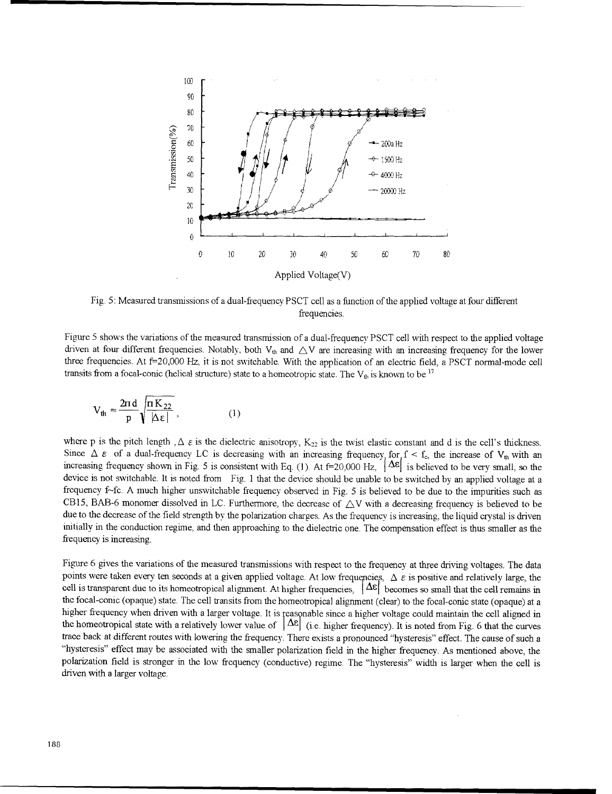

Fig. 5: Measured transmissions of a dual-frequency PSCT cell as a function of the applied voltage at four different frequencies.

Figure 5 shows the variations of the measured transmission of a dual-frequency PSCT cell with respect to the applied voltage driven at four different frequencies. Notably, both  $V_{th}$  and  $\triangle V$  are increasing with an increasing frequency for the lower three frequencies. At **f--20,000** Hz, it is not switchable. With the application of an electric field, a PSCT normal-mode cell transits from a focal-conic (helical structure) state to a homeotropic state. The  $V_{th}$  is known to be  $^{17}$ 

$$
V_{th} = \frac{2\pi d}{p} \sqrt{\frac{\pi K_{22}}{|\Delta \epsilon|}},
$$
 (1)

where p is the pitch length , $\Delta \varepsilon$  is the dielectric anisotropy, K<sub>22</sub> is the twist elastic constant and d is the cell's thickness. Since  $\Delta \varepsilon$  of a dual-frequency LC is decreasing with an increasing frequency for  $f < f_c$ , the increase of V<sub>th</sub> with an increasing frequency shown in Fig. 5 is consistent with Eq. (1). At  $f=20,000$  Hz,  $\Delta \epsilon$  is believed to be very small, so the device is not switchable. It is noted from Fig. **I** that the device should be unable to be switched by an applied voltage at a frequency f-fe. A much higher unswitchable frequency observed in Fig. 5 is believed to be due to the impurities such as CB15, BAB-6 monomer dissolved in LC. Furthermore, the decrease of  $\triangle V$  with a decreasing frequency is believed to be due to the decrease of the field strength by the polarization charges. As the frequency is increasing, the liquid crystal is driven initially in the conduction regime, and then approaching to the dielectric one. The compensation effect is thus smaller as the frequency is increasing,

Figure 6 gives the variations of the measured transmissions with respect to the frequency at three driving voltages. The data points were taken every ten seconds at a given applied voltage. At low frequencies,  $\Delta \varepsilon$  is positive and relatively large, the cell is transparent due to its homeotropical alignment. At higher frequencies,  $|\Delta \varepsilon|$  becomes so small that the cell remains in the focal-conic (opaque) state. The cell transits from the homeotropical alignment (clear) to the focal-conic state (opaque) at a higher frequency when driven with a larger voltage. It is reasonable since a higher voltage could maintain the cell aligned in the homeotropical state with a relatively lower value of  $|\Delta \varepsilon|$  (i.e. higher frequency). It is noted from Fig. 6 that the curves trace back at different routes with lowering the frequency. There exists a pronounced "hysteresis" effect. The cause of such a "hysteresis" effect may be associated with the smaller polarization field in the higher frequency. As mentioned above, the polarization field is stronger in the low frequency (conductive) regime. The "hysteresis" width is larger when the cell is driven with a larger voltage.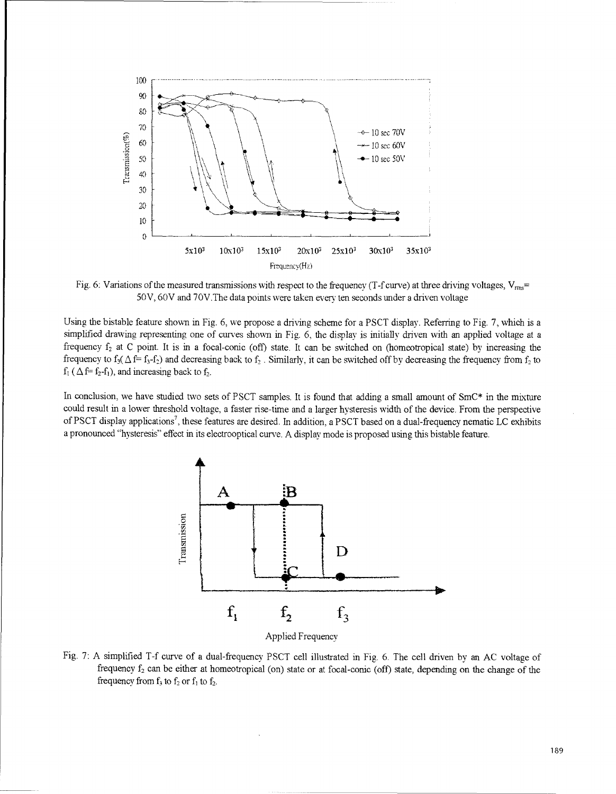

Fig. 6: Variations of the measured transmissions with respect to the frequency (T-f curve) at three driving voltages,  $V_{\text{rms}}=$ 50V, 60V and 70V.The data points were taken every ten seconds under a driven voltage

Using the bistable feature shown in Fig. 6, we propose a driving scheme for a PSCT display. Referring to Fig. 7, which is a simplified drawing representing one of curves shown in Fig. 6, the display is initially driven with an applied voltage at a frequency f<sub>2</sub> at C point. It is in a focal-conic (off) state. It can be switched on (homeotropical state) by increasing the frequency to  $f_3(\Delta f = f_3 - f_2)$  and decreasing back to  $f_2$ . Similarly, it can be switched off by decreasing the frequency from  $f_2$  to  $f_1$  ( $\Delta f = f_2 - f_1$ ), and increasing back to f<sub>2</sub>.

In conclusion, we have studied two sets of PSCT samples. It is found that adding a small amount of SmC\* in the mixture could result in a lower threshold voltage, a faster rise-time and a larger hysteresis width of the device. From the perspective of PSCT display applications<sup>7</sup>, these features are desired. In addition, a PSCT based on a dual-frequency nematic LC exhibits a pronounced "hysteresis" effect in its electrooptical curve. A display mode is proposed using this bistable feature.



Fig. 7: A simplified T-f curve of a dual-frequency PSCT cell illustrated in Fig. 6. The cell driven by an AC voltage of frequency  $f_2$  can be either at homeotropical (on) state or at focal-conic (off) state, depending on the change of the frequency from  $f_3$  to  $f_2$  or  $f_1$  to  $f_2$ .